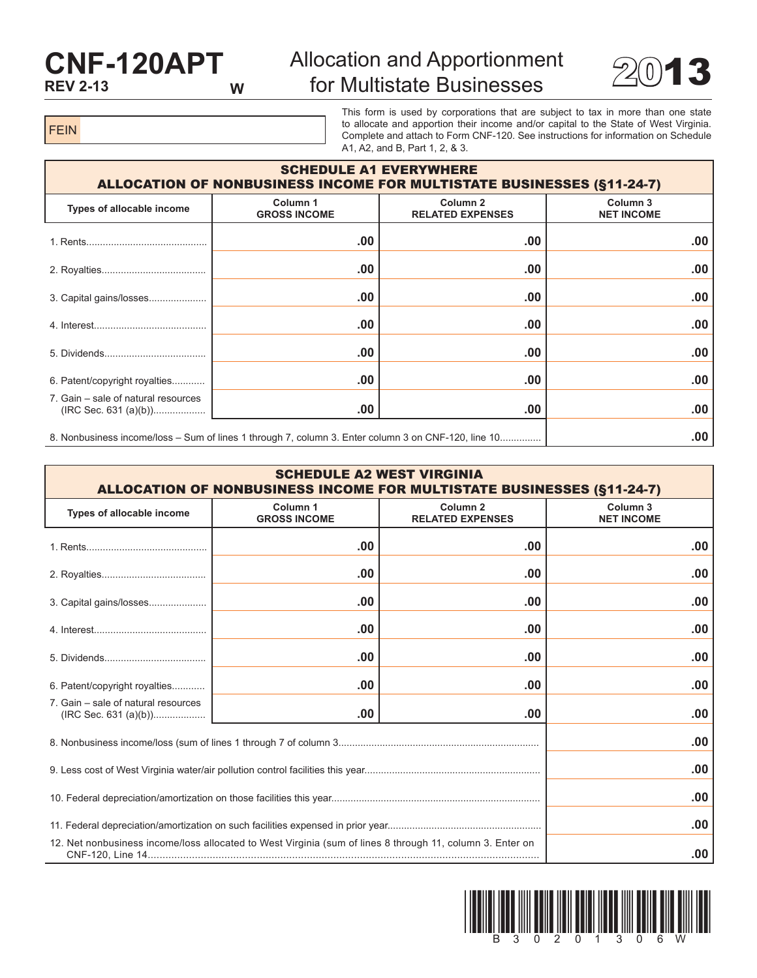## **CNF-120APT REV 2-13 W**

## Allocation and Apportionment for Multistate Businesses 22013



FEIN

This form is used by corporations that are subject to tax in more than one state to allocate and apportion their income and/or capital to the State of West Virginia. Complete and attach to Form CNF-120. See instructions for information on Schedule A1, A2, and B, Part 1, 2, & 3.

| <b>SCHEDULE A1 EVERYWHERE</b><br><b>ALLOCATION OF NONBUSINESS INCOME FOR MULTISTATE BUSINESSES (§11-24-7)</b> |                                 |                                                |                                          |  |  |
|---------------------------------------------------------------------------------------------------------------|---------------------------------|------------------------------------------------|------------------------------------------|--|--|
| Types of allocable income                                                                                     | Column 1<br><b>GROSS INCOME</b> | Column <sub>2</sub><br><b>RELATED EXPENSES</b> | Column <sub>3</sub><br><b>NET INCOME</b> |  |  |
|                                                                                                               | .00                             | .00                                            | .00                                      |  |  |
|                                                                                                               | .00                             | .00                                            | .00                                      |  |  |
| 3. Capital gains/losses                                                                                       | .00                             | .00                                            | .00                                      |  |  |
|                                                                                                               | .00                             | .00                                            | .00                                      |  |  |
|                                                                                                               | .00                             | .00                                            | .00                                      |  |  |
| 6. Patent/copyright royalties                                                                                 | .00                             | .00                                            | .00                                      |  |  |
| 7. Gain – sale of natural resources                                                                           | .00                             | .00                                            | .00                                      |  |  |
| 8. Nonbusiness income/loss – Sum of lines 1 through 7, column 3. Enter column 3 on CNF-120, line 10           |                                 |                                                | .00                                      |  |  |

| <b>SCHEDULE A2 WEST VIRGINIA</b><br><b>ALLOCATION OF NONBUSINESS INCOME FOR MULTISTATE BUSINESSES (§11-24-7)</b> |                                 |                                                |                                          |  |
|------------------------------------------------------------------------------------------------------------------|---------------------------------|------------------------------------------------|------------------------------------------|--|
| Types of allocable income                                                                                        | Column 1<br><b>GROSS INCOME</b> | Column <sub>2</sub><br><b>RELATED EXPENSES</b> | Column <sub>3</sub><br><b>NET INCOME</b> |  |
|                                                                                                                  | .00                             | .00                                            | .00                                      |  |
|                                                                                                                  | .00                             | .00                                            | .00                                      |  |
| 3. Capital gains/losses                                                                                          | .00                             | .00                                            | .00                                      |  |
|                                                                                                                  | .00                             | .00                                            | .00                                      |  |
|                                                                                                                  | .00                             | .00                                            | .00                                      |  |
| 6. Patent/copyright royalties                                                                                    | .00                             | .00                                            | .00                                      |  |
| 7. Gain – sale of natural resources                                                                              | .00                             | .00                                            | .00                                      |  |
|                                                                                                                  | .00                             |                                                |                                          |  |
|                                                                                                                  |                                 |                                                | .00                                      |  |
|                                                                                                                  |                                 |                                                | .00                                      |  |
|                                                                                                                  |                                 |                                                | .00                                      |  |
| 12. Net nonbusiness income/loss allocated to West Virginia (sum of lines 8 through 11, column 3. Enter on        |                                 |                                                | .00                                      |  |